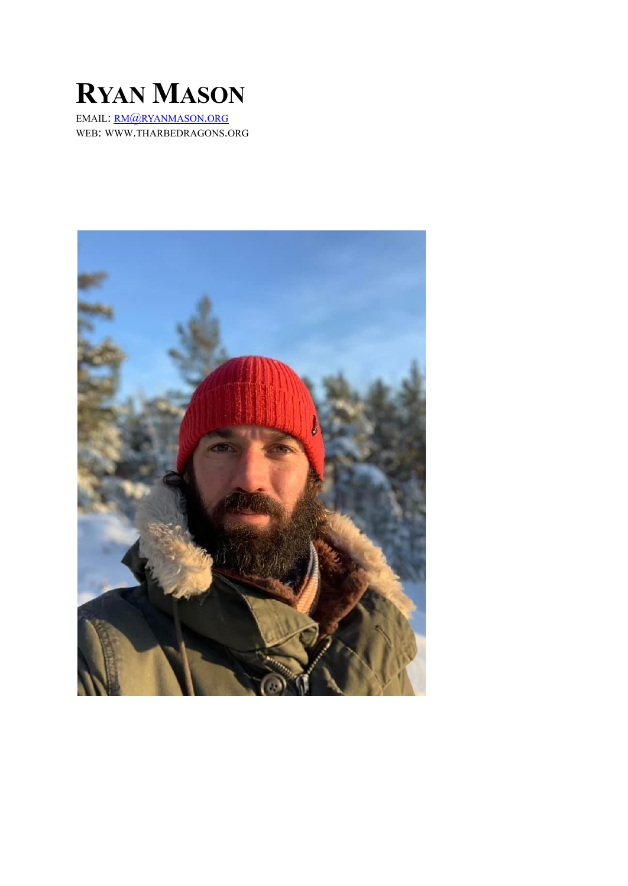

EMAIL: RM@RYANMASON.ORG WEB: WWW.THARBEDRAGONS.ORG

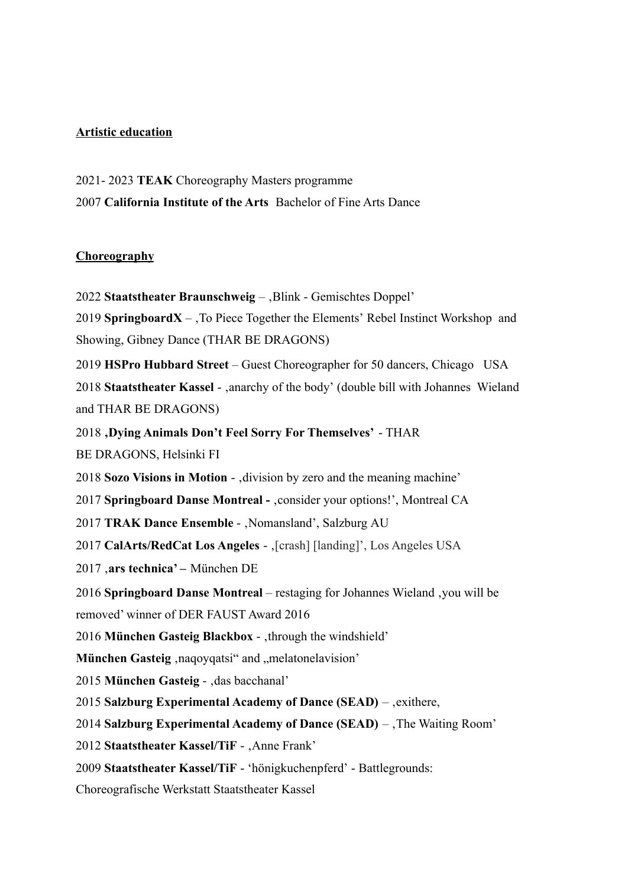# **Artistic education**

2021- 2023 **TEAK** Choreography Masters programme 2007 **California Institute of the Arts** Bachelor of Fine Arts Dance

## **Choreography**

**Staatstheater Braunschweig** – Blink - Gemischtes Doppel' **SpringboardX** –  $\overline{X}$  –  $\overline{Y}$  Piece Together the Elements' Rebel Instinct Workshop and Showing, Gibney Dance (THAR BE DRAGONS) **HSPro Hubbard Street** – Guest Choreographer for 50 dancers, Chicago USA **Staatstheater Kassel** - ,anarchy of the body' (double bill with Johannes Wieland and THAR BE DRAGONS) **'Dying Animals Don't Feel Sorry For Themselves'** - THAR BE DRAGONS, Helsinki FI **Sozo Visions in Motion** - division by zero and the meaning machine' **Springboard Danse Montreal -** , consider your options!', Montreal CA **TRAK Dance Ensemble -** , Nomansland', Salzburg AU **CalArts/RedCat Los Angeles** - , [crash] [landing]', Los Angeles USA 2017 '**ars technica' –** München DE **Springboard Danse Montreal** – restaging for Johannes Wieland 'you will be removed' winner of DER FAUST Award 2016 2016 München Gasteig Blackbox - through the windshield'

**München Gasteig** .nagoyqatsi" and ..melatonelavision'

2015 **München Gasteig -** , das bacchanal'

2015 **Salzburg Experimental Academy of Dance (SEAD)** – , exithere,

2014 **Salzburg Experimental Academy of Dance (SEAD)** – The Waiting Room'

2012 Staatstheater Kassel/TiF - , Anne Frank'

2009 **Staatstheater Kassel/TiF** - 'hönigkuchenpferd' - Battlegrounds:

Choreografische Werkstatt Staatstheater Kassel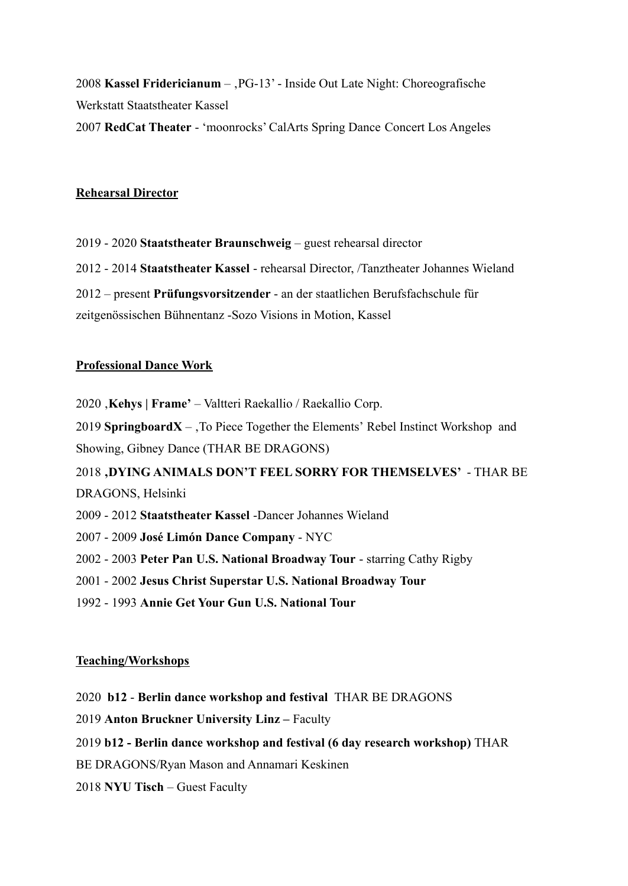2008 **Kassel Fridericianum** – PG-13' - Inside Out Late Night: Choreografische Werkstatt Staatstheater Kassel 2007 **RedCat Theater** - 'moonrocks' CalArts Spring Dance Concert Los Angeles

### **Rehearsal Director**

2019 - 2020 **Staatstheater Braunschweig** – guest rehearsal director 2012 - 2014 **Staatstheater Kassel** - rehearsal Director, /Tanztheater Johannes Wieland 2012 – present **Prüfungsvorsitzender** - an der staatlichen Berufsfachschule für zeitgenössischen Bühnentanz -Sozo Visions in Motion, Kassel

#### **Professional Dance Work**

2020 '**Kehys | Frame'** – Valtteri Raekallio / Raekallio Corp.

2019 **SpringboardX** –  $\overline{X}$  –  $\overline{Y}$  Piece Together the Elements' Rebel Instinct Workshop and Showing, Gibney Dance (THAR BE DRAGONS)

2018 **'DYING ANIMALS DON'T FEEL SORRY FOR THEMSELVES'** - THAR BE DRAGONS, Helsinki

- 2009 2012 **Staatstheater Kassel** -Dancer Johannes Wieland
- 2007 2009 **José Limón Dance Company** NYC
- 2002 2003 **Peter Pan U.S. National Broadway Tour** starring Cathy Rigby
- 2001 2002 **Jesus Christ Superstar U.S. National Broadway Tour**
- 1992 1993 **Annie Get Your Gun U.S. National Tour**

### **Teaching/Workshops**

- 2020 **b12 Berlin dance workshop and festival** THAR BE DRAGONS
- 2019 **Anton Bruckner University Linz –** Faculty
- 2019 **b12 Berlin dance workshop and festival (6 day research workshop)** THAR
- BE DRAGONS/Ryan Mason and Annamari Keskinen
- 2018 **NYU Tisch** Guest Faculty